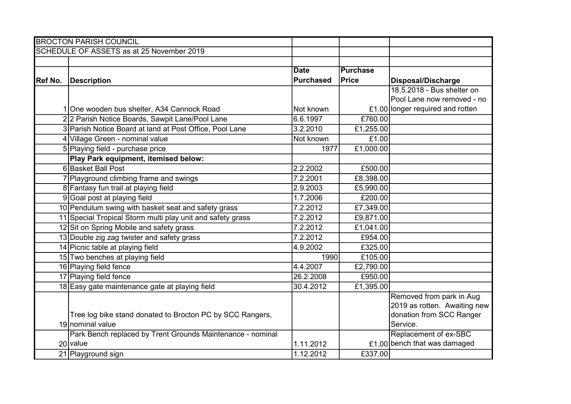|         | <b>BROCTON PARISH COUNCIL</b>                              |                  |                 |                                  |
|---------|------------------------------------------------------------|------------------|-----------------|----------------------------------|
|         | SCHEDULE OF ASSETS as at 25 November 2019                  |                  |                 |                                  |
|         |                                                            |                  |                 |                                  |
|         |                                                            | <b>Date</b>      | <b>Purchase</b> |                                  |
| Ref No. | <b>Description</b>                                         | <b>Purchased</b> | <b>Price</b>    | <b>Disposal/Discharge</b>        |
|         |                                                            |                  |                 | 18.5.2018 - Bus shelter on       |
|         |                                                            |                  |                 | Pool Lane now removed - no       |
|         | 1 One wooden bus shelter, A34 Cannock Road                 | Not known        |                 | £1.00 longer required and rotten |
|         | 22 Parish Notice Boards, Sawpit Lane/Pool Lane             | 6.6.1997         | £760.00         |                                  |
|         | 3 Parish Notice Board at land at Post Office, Pool Lane    | 3.2.2010         | £1,255.00       |                                  |
|         | 4 Village Green - nominal value                            | Not known        | £1.00           |                                  |
|         | 5 Playing field - purchase price                           | 1977             | £1,000.00       |                                  |
|         | Play Park equipment, itemised below:                       |                  |                 |                                  |
|         | 6 Basket Ball Post                                         | 2.2.2002         | £500.00         |                                  |
|         | 7 Playground climbing frame and swings                     | 7.2.2001         | £8,398.00       |                                  |
|         | 8 Fantasy fun trail at playing field                       | 2.9.2003         | £5,990.00       |                                  |
|         | 9 Goal post at playing field                               | 1.7.2006         | £200.00         |                                  |
|         | 10 Pendulum swing with basket seat and safety grass        | 7.2.2012         | £7,349.00       |                                  |
|         | 11 Special Tropical Storm multi play unit and safety grass | 7.2.2012         | £9,871.00       |                                  |
|         | 12 Sit on Spring Mobile and safety grass                   | 7.2.2012         | £1,041.00       |                                  |
|         | 13 Double zig zag twister and safety grass                 | 7.2.2012         | £954.00         |                                  |
|         | 14 Picnic table at playing field                           | 4.9.2002         | £325.00         |                                  |
|         | 15 Two benches at playing field                            | 1990             | £105.00         |                                  |
|         | 16 Playing field fence                                     | 4.4.2007         | £2,790.00       |                                  |
|         | 17 Playing field fence                                     | 26.2.2008        | £950.00         |                                  |
|         | 18 Easy gate maintenance gate at playing field             | 30.4.2012        | £1,395.00       |                                  |
|         |                                                            |                  |                 | Removed from park in Aug         |
|         |                                                            |                  |                 | 2019 as rotten. Awaiting new     |
|         | Tree log bike stand donated to Brocton PC by SCC Rangers,  |                  |                 | donation from SCC Ranger         |
|         | 19 nominal value                                           |                  |                 | Service.                         |
|         | Park Bench replaced by Trent Grounds Maintenance - nominal |                  |                 | Replacement of ex-SBC            |
|         | 20 value                                                   | 1.11.2012        |                 | £1.00 bench that was damaged     |
|         | 21 Playground sign                                         | 1.12.2012        | £337.00         |                                  |